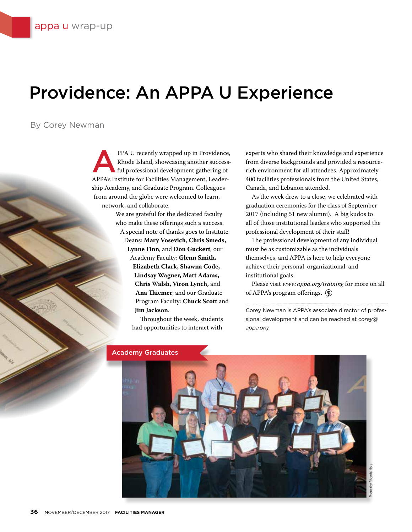## Providence: An APPA U Experience

By Corey Newman

PPA U recently wrapped up in Providence,<br>Rhode Island, showcasing another success-<br>ful professional development gathering of Rhode Island, showcasing another successful professional development gathering of APPA's Institute for Facilities Management, Leadership Academy, and Graduate Program. Colleagues from around the globe were welcomed to learn, network, and collaborate.

> We are grateful for the dedicated faculty who make these offerings such a success.

A special note of thanks goes to Institute Deans: **Mary Vosevich**, **Chris Smeds, Lynne Finn**, and **Don Guckert**; our Academy Faculty: **Glenn Smith, Elizabeth Clark, Shawna Code, Lindsay Wagner, Matt Adams, Chris Walsh, Viron Lynch,** and **Ana Thiemer**; and our Graduate Program Faculty: **Chuck Scott** and **Jim Jackson**.

> Throughout the week, students had opportunities to interact with

experts who shared their knowledge and experience from diverse backgrounds and provided a resourcerich environment for all attendees. Approximately 400 facilities professionals from the United States, Canada, and Lebanon attended.

As the week drew to a close, we celebrated with graduation ceremonies for the class of September 2017 (including 51 new alumni). A big kudos to all of those institutional leaders who supported the professional development of their staff!

The professional development of any individual must be as customizable as the individuals themselves, and APPA is here to help everyone achieve their personal, organizational, and institutional goals.

Please visit *www.appa.org/training* for more on all of APPA's program offerings.  $\circled{\mathbb{R}}$ 

Corey Newman is APPA's associate director of professional development and can be reached at *corey@ appa.org.*